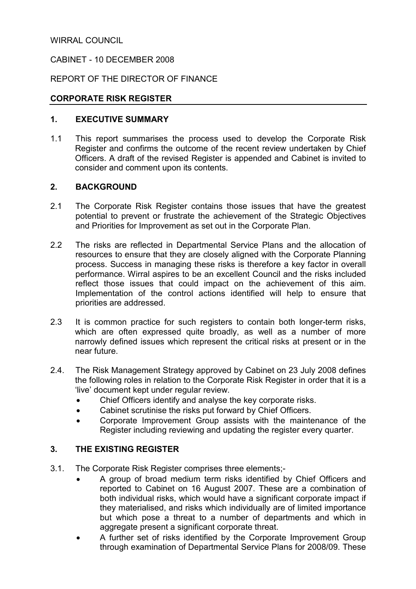### WIRRAL COUNCIL

### CABINET - 10 DECEMBER 2008

### REPORT OF THE DIRECTOR OF FINANCE

### CORPORATE RISK REGISTER

### 1. EXECUTIVE SUMMARY

1.1 This report summarises the process used to develop the Corporate Risk Register and confirms the outcome of the recent review undertaken by Chief Officers. A draft of the revised Register is appended and Cabinet is invited to consider and comment upon its contents.

### 2. BACKGROUND

- 2.1 The Corporate Risk Register contains those issues that have the greatest potential to prevent or frustrate the achievement of the Strategic Objectives and Priorities for Improvement as set out in the Corporate Plan.
- 2.2 The risks are reflected in Departmental Service Plans and the allocation of resources to ensure that they are closely aligned with the Corporate Planning process. Success in managing these risks is therefore a key factor in overall performance. Wirral aspires to be an excellent Council and the risks included reflect those issues that could impact on the achievement of this aim. Implementation of the control actions identified will help to ensure that priorities are addressed.
- 2.3 It is common practice for such registers to contain both longer-term risks, which are often expressed quite broadly, as well as a number of more narrowly defined issues which represent the critical risks at present or in the near future.
- 2.4. The Risk Management Strategy approved by Cabinet on 23 July 2008 defines the following roles in relation to the Corporate Risk Register in order that it is a 'live' document kept under regular review.
	- Chief Officers identify and analyse the key corporate risks.
	- Cabinet scrutinise the risks put forward by Chief Officers.
	- Corporate Improvement Group assists with the maintenance of the Register including reviewing and updating the register every quarter.

### 3. THE EXISTING REGISTER

- 3.1. The Corporate Risk Register comprises three elements;-
	- A group of broad medium term risks identified by Chief Officers and reported to Cabinet on 16 August 2007. These are a combination of both individual risks, which would have a significant corporate impact if they materialised, and risks which individually are of limited importance but which pose a threat to a number of departments and which in aggregate present a significant corporate threat.
	- A further set of risks identified by the Corporate Improvement Group through examination of Departmental Service Plans for 2008/09. These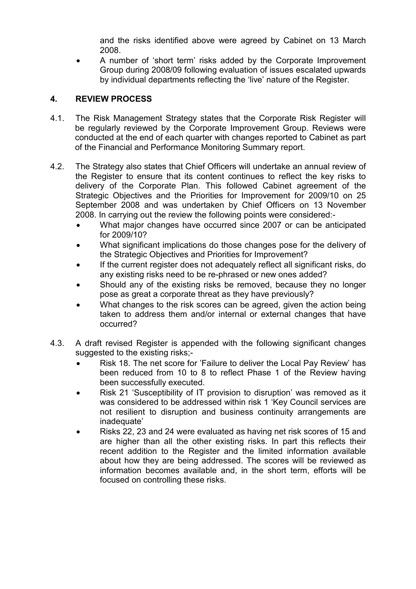and the risks identified above were agreed by Cabinet on 13 March 2008.

• A number of 'short term' risks added by the Corporate Improvement Group during 2008/09 following evaluation of issues escalated upwards by individual departments reflecting the 'live' nature of the Register.

# 4. REVIEW PROCESS

- 4.1. The Risk Management Strategy states that the Corporate Risk Register will be regularly reviewed by the Corporate Improvement Group. Reviews were conducted at the end of each quarter with changes reported to Cabinet as part of the Financial and Performance Monitoring Summary report.
- 4.2. The Strategy also states that Chief Officers will undertake an annual review of the Register to ensure that its content continues to reflect the key risks to delivery of the Corporate Plan. This followed Cabinet agreement of the Strategic Objectives and the Priorities for Improvement for 2009/10 on 25 September 2008 and was undertaken by Chief Officers on 13 November 2008. In carrying out the review the following points were considered:-
	- What major changes have occurred since 2007 or can be anticipated for 2009/10?
	- What significant implications do those changes pose for the delivery of the Strategic Objectives and Priorities for Improvement?
	- If the current register does not adequately reflect all significant risks, do any existing risks need to be re-phrased or new ones added?
	- Should any of the existing risks be removed, because they no longer pose as great a corporate threat as they have previously?
	- What changes to the risk scores can be agreed, given the action being taken to address them and/or internal or external changes that have occurred?
- 4.3. A draft revised Register is appended with the following significant changes suggested to the existing risks:-
	- Risk 18. The net score for 'Failure to deliver the Local Pay Review' has been reduced from 10 to 8 to reflect Phase 1 of the Review having been successfully executed.
	- Risk 21 'Susceptibility of IT provision to disruption' was removed as it was considered to be addressed within risk 1 'Key Council services are not resilient to disruption and business continuity arrangements are inadequate'
	- Risks 22, 23 and 24 were evaluated as having net risk scores of 15 and are higher than all the other existing risks. In part this reflects their recent addition to the Register and the limited information available about how they are being addressed. The scores will be reviewed as information becomes available and, in the short term, efforts will be focused on controlling these risks.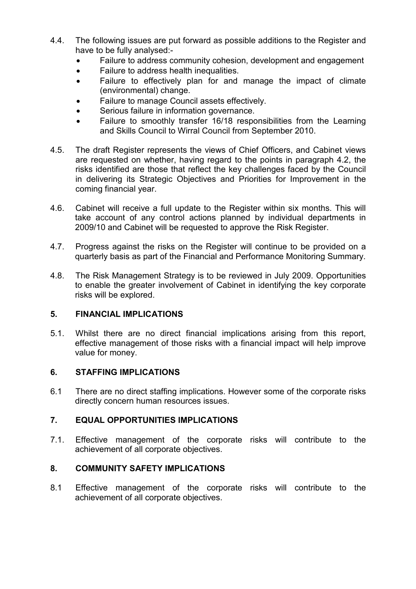- 4.4. The following issues are put forward as possible additions to the Register and have to be fully analysed:-
	- Failure to address community cohesion, development and engagement
	- Failure to address health inequalities.
	- Failure to effectively plan for and manage the impact of climate (environmental) change.
	- Failure to manage Council assets effectively.
	- Serious failure in information governance.
	- Failure to smoothly transfer 16/18 responsibilities from the Learning and Skills Council to Wirral Council from September 2010.
- 4.5. The draft Register represents the views of Chief Officers, and Cabinet views are requested on whether, having regard to the points in paragraph 4.2, the risks identified are those that reflect the key challenges faced by the Council in delivering its Strategic Objectives and Priorities for Improvement in the coming financial year.
- 4.6. Cabinet will receive a full update to the Register within six months. This will take account of any control actions planned by individual departments in 2009/10 and Cabinet will be requested to approve the Risk Register.
- 4.7. Progress against the risks on the Register will continue to be provided on a quarterly basis as part of the Financial and Performance Monitoring Summary.
- 4.8. The Risk Management Strategy is to be reviewed in July 2009. Opportunities to enable the greater involvement of Cabinet in identifying the key corporate risks will be explored.

## 5. FINANCIAL IMPLICATIONS

5.1. Whilst there are no direct financial implications arising from this report, effective management of those risks with a financial impact will help improve value for money.

## 6. STAFFING IMPLICATIONS

6.1 There are no direct staffing implications. However some of the corporate risks directly concern human resources issues.

## 7. EQUAL OPPORTUNITIES IMPLICATIONS

7.1. Effective management of the corporate risks will contribute to the achievement of all corporate objectives.

## 8. COMMUNITY SAFETY IMPLICATIONS

8.1 Effective management of the corporate risks will contribute to the achievement of all corporate objectives.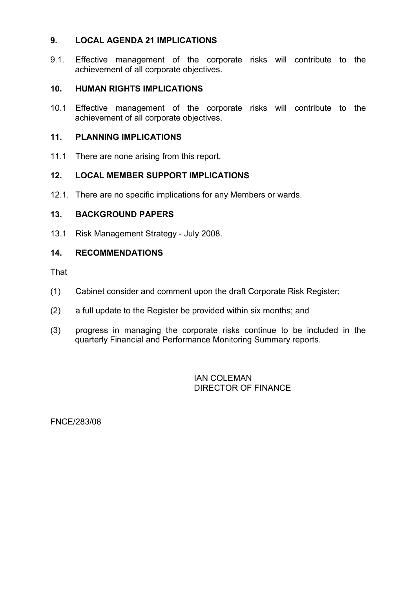### 9. LOCAL AGENDA 21 IMPLICATIONS

9.1. Effective management of the corporate risks will contribute to the achievement of all corporate objectives.

### 10. HUMAN RIGHTS IMPLICATIONS

10.1 Effective management of the corporate risks will contribute to the achievement of all corporate objectives.

#### 11. PLANNING IMPLICATIONS

11.1 There are none arising from this report.

### 12. LOCAL MEMBER SUPPORT IMPLICATIONS

12.1. There are no specific implications for any Members or wards.

#### 13. BACKGROUND PAPERS

13.1 Risk Management Strategy - July 2008.

#### 14. RECOMMENDATIONS

That

- (1) Cabinet consider and comment upon the draft Corporate Risk Register;
- (2) a full update to the Register be provided within six months; and
- (3) progress in managing the corporate risks continue to be included in the quarterly Financial and Performance Monitoring Summary reports.

 IAN COLEMAN DIRECTOR OF FINANCE

FNCE/283/08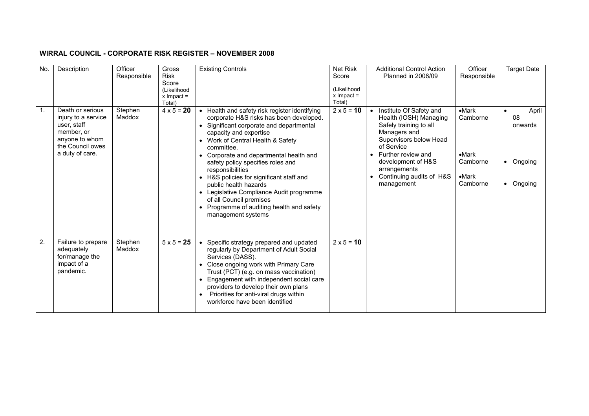#### WIRRAL COUNCIL - CORPORATE RISK REGISTER – NOVEMBER 2008

| No. | Description                                                                                                                   | Officer<br>Responsible | Gross<br><b>Risk</b><br>Score         | <b>Existing Controls</b>                                                                                                                                                                                                                                                                                                                                                                                                                                                                                                       | Net Risk<br>Score                     | <b>Additional Control Action</b><br><b>Planned in 2008/09</b>                                                                                                                                                                                          | Officer<br>Responsible                                                          | <b>Target Date</b>                             |
|-----|-------------------------------------------------------------------------------------------------------------------------------|------------------------|---------------------------------------|--------------------------------------------------------------------------------------------------------------------------------------------------------------------------------------------------------------------------------------------------------------------------------------------------------------------------------------------------------------------------------------------------------------------------------------------------------------------------------------------------------------------------------|---------------------------------------|--------------------------------------------------------------------------------------------------------------------------------------------------------------------------------------------------------------------------------------------------------|---------------------------------------------------------------------------------|------------------------------------------------|
|     |                                                                                                                               |                        | (Likelihood<br>$x$ Impact =<br>Total) |                                                                                                                                                                                                                                                                                                                                                                                                                                                                                                                                | (Likelihood<br>$x$ Impact =<br>Total) |                                                                                                                                                                                                                                                        |                                                                                 |                                                |
| 1.  | Death or serious<br>injury to a service<br>user, staff<br>member, or<br>anyone to whom<br>the Council owes<br>a duty of care. | Stephen<br>Maddox      | $4 \times 5 = 20$                     | • Health and safety risk register identifying<br>corporate H&S risks has been developed.<br>Significant corporate and departmental<br>capacity and expertise<br>• Work of Central Health & Safety<br>committee.<br>Corporate and departmental health and<br>safety policy specifies roles and<br>responsibilities<br>• H&S policies for significant staff and<br>public health hazards<br>• Legislative Compliance Audit programme<br>of all Council premises<br>Programme of auditing health and safety<br>management systems | $2 \times 5 = 10$                     | Institute Of Safety and<br>$\bullet$<br>Health (IOSH) Managing<br>Safely training to all<br>Managers and<br>Supervisors below Head<br>of Service<br>Further review and<br>development of H&S<br>arrangements<br>Continuing audits of H&S<br>management | $-Mark$<br>Camborne<br>$\bullet$ Mark<br>Camborne<br>$\bullet$ Mark<br>Camborne | April<br>08<br>onwards<br>• Ongoing<br>Ongoing |
| 2.  | Failure to prepare<br>adequately<br>for/manage the<br>impact of a<br>pandemic.                                                | Stephen<br>Maddox      | $5 \times 5 = 25$                     | Specific strategy prepared and updated<br>regularly by Department of Adult Social<br>Services (DASS).<br>Close ongoing work with Primary Care<br>Trust (PCT) (e.g. on mass vaccination)<br>Engagement with independent social care<br>providers to develop their own plans<br>Priorities for anti-viral drugs within<br>workforce have been identified                                                                                                                                                                         | $2 \times 5 = 10$                     |                                                                                                                                                                                                                                                        |                                                                                 |                                                |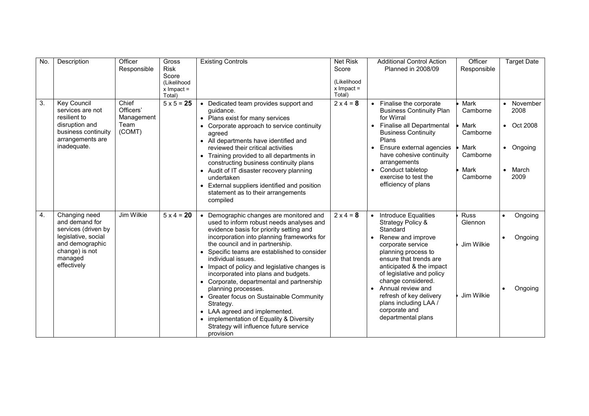| No. | Description                                                                                                                                  | Officer<br>Responsible                             | Gross<br><b>Risk</b><br>Score<br>(Likelihood<br>$x$ Impact =<br>Total) | <b>Existing Controls</b>                                                                                                                                                                                                                                                                                                                                                                                                                                                                                                                                                                                                            | <b>Net Risk</b><br>Score<br>(Likelihood<br>$x$ Impact =<br>Total) | <b>Additional Control Action</b><br>Planned in 2008/09                                                                                                                                                                                                                                                                                                       | Officer<br>Responsible                                                       | Target Date                                                  |
|-----|----------------------------------------------------------------------------------------------------------------------------------------------|----------------------------------------------------|------------------------------------------------------------------------|-------------------------------------------------------------------------------------------------------------------------------------------------------------------------------------------------------------------------------------------------------------------------------------------------------------------------------------------------------------------------------------------------------------------------------------------------------------------------------------------------------------------------------------------------------------------------------------------------------------------------------------|-------------------------------------------------------------------|--------------------------------------------------------------------------------------------------------------------------------------------------------------------------------------------------------------------------------------------------------------------------------------------------------------------------------------------------------------|------------------------------------------------------------------------------|--------------------------------------------------------------|
| 3.  | Key Council<br>services are not<br>resilient to<br>disruption and<br>business continuity<br>arrangements are<br>inadequate.                  | Chief<br>Officers'<br>Management<br>Team<br>(COMT) | $5 \times 5 = 25$                                                      | Dedicated team provides support and<br>quidance.<br>• Plans exist for many services<br>Corporate approach to service continuity<br>agreed<br>• All departments have identified and<br>reviewed their critical activities<br>• Training provided to all departments in<br>constructing business continuity plans<br>• Audit of IT disaster recovery planning<br>undertaken<br>External suppliers identified and position<br>statement as to their arrangements<br>compiled                                                                                                                                                           | $2 \times 4 = 8$                                                  | Finalise the corporate<br>$\bullet$<br><b>Business Continuity Plan</b><br>for Wirral<br>Finalise all Departmental<br>$\bullet$<br><b>Business Continuity</b><br>Plans<br>Ensure external agencies<br>have cohesive continuity<br>arrangements<br>Conduct tabletop<br>exercise to test the<br>efficiency of plans                                             | Mark<br>Camborne<br>Mark<br>Camborne<br>Mark<br>Camborne<br>Mark<br>Camborne | November<br>2008<br>• Oct 2008<br>• Ongoing<br>March<br>2009 |
| 4.  | Changing need<br>and demand for<br>services (driven by<br>legislative, social<br>and demographic<br>change) is not<br>managed<br>effectively | <b>Jim Wilkie</b>                                  | $5 \times 4 = 20$                                                      | Demographic changes are monitored and<br>used to inform robust needs analyses and<br>evidence basis for priority setting and<br>incorporation into planning frameworks for<br>the council and in partnership.<br>Specific teams are established to consider<br>individual issues.<br>Impact of policy and legislative changes is<br>incorporated into plans and budgets.<br>Corporate, departmental and partnership<br>planning processes.<br>Greater focus on Sustainable Community<br>Strategy.<br>• LAA agreed and implemented.<br>implementation of Equality & Diversity<br>Strategy will influence future service<br>provision | $2 \times 4 = 8$                                                  | Introduce Equalities<br>$\bullet$<br>Strategy Policy &<br>Standard<br>Renew and improve<br>corporate service<br>planning process to<br>ensure that trends are<br>anticipated & the impact<br>of legislative and policy<br>change considered.<br>Annual review and<br>refresh of key delivery<br>plans including LAA /<br>corporate and<br>departmental plans | <b>Russ</b><br>Glennon<br>Jim Wilkie<br>Jim Wilkie                           | Ongoing<br>Ongoing<br>Ongoing                                |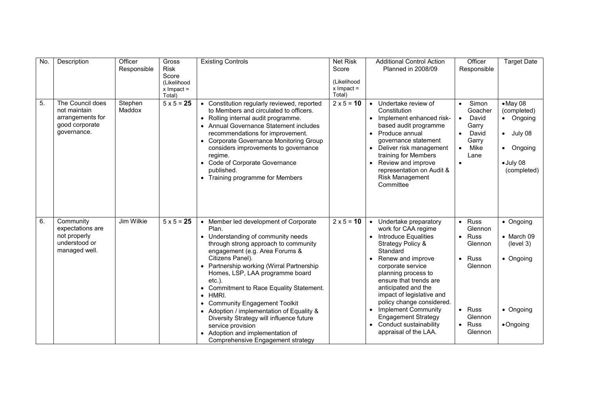| No. | Description                                                                           | Officer<br>Responsible | Gross<br><b>Risk</b><br>Score<br>(Likelihood<br>$x$ Impact =<br>Total) | <b>Existing Controls</b>                                                                                                                                                                                                                                                                                                                                                                                                                                                                                                                                        | <b>Net Risk</b><br>Score<br>(Likelihood<br>$x$ Impact =<br>Total) | <b>Additional Control Action</b><br><b>Planned in 2008/09</b>                                                                                                                                                                                                                                                                                                                                                                     | Officer<br>Responsible                                                                                                                                                      | <b>Target Date</b>                                                                                     |
|-----|---------------------------------------------------------------------------------------|------------------------|------------------------------------------------------------------------|-----------------------------------------------------------------------------------------------------------------------------------------------------------------------------------------------------------------------------------------------------------------------------------------------------------------------------------------------------------------------------------------------------------------------------------------------------------------------------------------------------------------------------------------------------------------|-------------------------------------------------------------------|-----------------------------------------------------------------------------------------------------------------------------------------------------------------------------------------------------------------------------------------------------------------------------------------------------------------------------------------------------------------------------------------------------------------------------------|-----------------------------------------------------------------------------------------------------------------------------------------------------------------------------|--------------------------------------------------------------------------------------------------------|
| 5.  | The Council does<br>not maintain<br>arrangements for<br>good corporate<br>governance. | Stephen<br>Maddox      | $5 \times 5 = 25$                                                      | • Constitution regularly reviewed, reported<br>to Members and circulated to officers.<br>• Rolling internal audit programme.<br>• Annual Governance Statement includes<br>recommendations for improvement.<br>• Corporate Governance Monitoring Group<br>considers improvements to governance<br>regime.<br>• Code of Corporate Governance<br>published.<br>• Training programme for Members                                                                                                                                                                    | $2 \times 5 = 10$                                                 | Undertake review of<br>Constitution<br>Implement enhanced risk-<br>based audit programme<br>Produce annual<br>governance statement<br>Deliver risk management<br>training for Members<br>Review and improve<br>representation on Audit &<br>Risk Management<br>Committee                                                                                                                                                          | Simon<br>$\bullet$<br>Goacher<br>David<br>$\bullet$<br>Garry<br>David<br>Garry<br>Mike<br>$\bullet$<br>Lane<br>$\bullet$                                                    | $-May$ 08<br>(completed)<br>• Ongoing<br>July 08<br>$\bullet$<br>• Ongoing<br>· July 08<br>(completed) |
| 6.  | Community<br>expectations are<br>not properly<br>understood or<br>managed well.       | <b>Jim Wilkie</b>      | $5 \times 5 = 25$                                                      | Member led development of Corporate<br>Plan.<br>Understanding of community needs<br>through strong approach to community<br>engagement (e.g. Area Forums &<br>Citizens Panel).<br>Partnership working (Wirral Partnership<br>Homes, LSP, LAA programme board<br>$etc.$ ).<br>• Commitment to Race Equality Statement.<br>$\bullet$ HMRI.<br>• Community Engagement Toolkit<br>• Adoption / implementation of Equality &<br>Diversity Strategy will influence future<br>service provision<br>Adoption and implementation of<br>Comprehensive Engagement strategy | $2 \times 5 = 10$                                                 | Undertake preparatory<br>$\bullet$<br>work for CAA regime<br><b>Introduce Equalities</b><br>Strategy Policy &<br>Standard<br>Renew and improve<br>corporate service<br>planning process to<br>ensure that trends are<br>anticipated and the<br>impact of legislative and<br>policy change considered.<br><b>Implement Community</b><br>$\bullet$<br><b>Engagement Strategy</b><br>Conduct sustainability<br>appraisal of the LAA. | $\bullet$ Russ<br>Glennon<br><b>Russ</b><br>$\bullet$<br>Glennon<br><b>Russ</b><br>$\bullet$<br>Glennon<br>$\bullet$ Russ<br>Glennon<br><b>Russ</b><br>$\bullet$<br>Glennon | • Ongoing<br>$\bullet$ March 09<br>(level 3)<br>• Ongoing<br>• Ongoing<br>•Ongoing                     |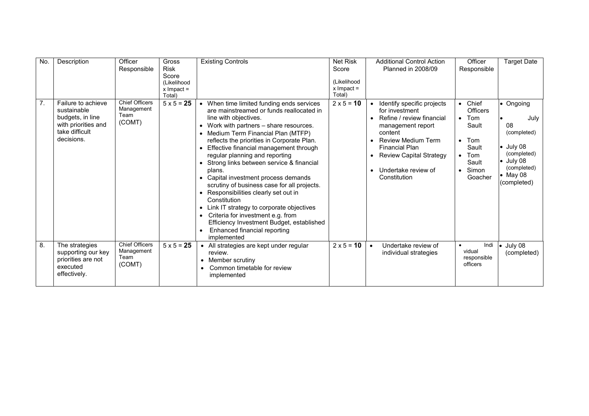| No. | Description                                                                                                  | Officer                                               | Gross                       | <b>Existing Controls</b>                                                                                                                                                                                                                                                                                                                                                                                                                                                                                                                                                                                                                                                | <b>Net Risk</b>   | <b>Additional Control Action</b>                                                                                                                                                                                                                                                | Officer                                                                                                                                            | <b>Target Date</b>                                                                                                                                |
|-----|--------------------------------------------------------------------------------------------------------------|-------------------------------------------------------|-----------------------------|-------------------------------------------------------------------------------------------------------------------------------------------------------------------------------------------------------------------------------------------------------------------------------------------------------------------------------------------------------------------------------------------------------------------------------------------------------------------------------------------------------------------------------------------------------------------------------------------------------------------------------------------------------------------------|-------------------|---------------------------------------------------------------------------------------------------------------------------------------------------------------------------------------------------------------------------------------------------------------------------------|----------------------------------------------------------------------------------------------------------------------------------------------------|---------------------------------------------------------------------------------------------------------------------------------------------------|
|     |                                                                                                              | Responsible                                           | <b>Risk</b>                 |                                                                                                                                                                                                                                                                                                                                                                                                                                                                                                                                                                                                                                                                         | Score             | <b>Planned in 2008/09</b>                                                                                                                                                                                                                                                       | Responsible                                                                                                                                        |                                                                                                                                                   |
|     |                                                                                                              |                                                       | Score                       |                                                                                                                                                                                                                                                                                                                                                                                                                                                                                                                                                                                                                                                                         | (Likelihood       |                                                                                                                                                                                                                                                                                 |                                                                                                                                                    |                                                                                                                                                   |
|     |                                                                                                              |                                                       | (Likelihood<br>$x$ Impact = |                                                                                                                                                                                                                                                                                                                                                                                                                                                                                                                                                                                                                                                                         | $x$ Impact =      |                                                                                                                                                                                                                                                                                 |                                                                                                                                                    |                                                                                                                                                   |
|     |                                                                                                              |                                                       | Total)                      |                                                                                                                                                                                                                                                                                                                                                                                                                                                                                                                                                                                                                                                                         | Total)            |                                                                                                                                                                                                                                                                                 |                                                                                                                                                    |                                                                                                                                                   |
| 7.  | Failure to achieve<br>sustainable<br>budgets, in line<br>with priorities and<br>take difficult<br>decisions. | <b>Chief Officers</b><br>Management<br>Team<br>(COMT) | $5 \times 5 = 25$           | • When time limited funding ends services<br>are mainstreamed or funds reallocated in<br>line with objectives.<br>Work with partners - share resources.<br>• Medium Term Financial Plan (MTFP)<br>reflects the priorities in Corporate Plan.<br>Effective financial management through<br>regular planning and reporting<br>• Strong links between service & financial<br>plans.<br>Capital investment process demands<br>$\bullet$<br>scrutiny of business case for all projects.<br>Responsibilities clearly set out in<br>Constitution<br>Link IT strategy to corporate objectives<br>Criteria for investment e.g. from<br>Efficiency Investment Budget, established | $2 \times 5 = 10$ | Identify specific projects<br>for investment<br>Refine / review financial<br>$\bullet$<br>management report<br>content<br><b>Review Medium Term</b><br><b>Financial Plan</b><br><b>Review Capital Strategy</b><br>$\bullet$<br>Undertake review of<br>$\bullet$<br>Constitution | • Chief<br><b>Officers</b><br>Tom<br>$\bullet$<br>Sault<br>Tom<br>$\bullet$<br>Sault<br>Tom<br>$\bullet$<br>Sault<br>Simon<br>$\bullet$<br>Goacher | • Ongoing<br>July<br>08<br>(completed)<br>$\bullet$ July 08<br>(completed)<br>$\bullet$ July 08<br>(completed)<br>$\bullet$ May 08<br>(completed) |
|     |                                                                                                              |                                                       |                             | Enhanced financial reporting<br>implemented                                                                                                                                                                                                                                                                                                                                                                                                                                                                                                                                                                                                                             |                   |                                                                                                                                                                                                                                                                                 |                                                                                                                                                    |                                                                                                                                                   |
| 8.  | The strategies<br>supporting our key<br>priorities are not<br>executed<br>effectively.                       | <b>Chief Officers</b><br>Management<br>Team<br>(COMT) | $5 \times 5 = 25$           | • All strategies are kept under regular<br>review.<br>Member scrutiny<br>Common timetable for review<br>implemented                                                                                                                                                                                                                                                                                                                                                                                                                                                                                                                                                     | $2 \times 5 = 10$ | Undertake review of<br>$\bullet$<br>individual strategies                                                                                                                                                                                                                       | Indi<br>$\bullet$<br>vidual<br>responsible<br>officers                                                                                             | $\bullet$ July 08<br>(completed)                                                                                                                  |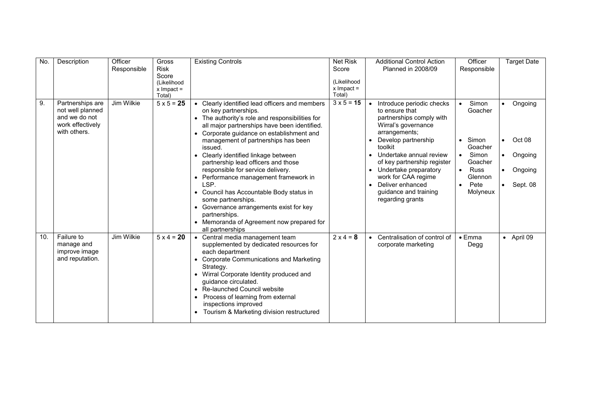| No. | Description                                           | Officer           | Gross                | <b>Existing Controls</b>                                                                                              | <b>Net Risk</b>   | <b>Additional Control Action</b>                                        | Officer                             | <b>Target Date</b>   |
|-----|-------------------------------------------------------|-------------------|----------------------|-----------------------------------------------------------------------------------------------------------------------|-------------------|-------------------------------------------------------------------------|-------------------------------------|----------------------|
|     |                                                       | Responsible       | <b>Risk</b>          |                                                                                                                       | Score             | <b>Planned in 2008/09</b>                                               | Responsible                         |                      |
|     |                                                       |                   | Score<br>(Likelihood |                                                                                                                       | (Likelihood       |                                                                         |                                     |                      |
|     |                                                       |                   | $x$ Impact =         |                                                                                                                       | $x$ Impact =      |                                                                         |                                     |                      |
|     |                                                       |                   | Total)               |                                                                                                                       | Total)            |                                                                         |                                     |                      |
| 9.  | Partnerships are<br>not well planned<br>and we do not | Jim Wilkie        | $5 \times 5 = 25$    | Clearly identified lead officers and members<br>on key partnerships.<br>The authority's role and responsibilities for | $3 \times 5 = 15$ | Introduce periodic checks<br>to ensure that<br>partnerships comply with | Simon<br>$\bullet$<br>Goacher       | Ongoing              |
|     | work effectively<br>with others.                      |                   |                      | all major partnerships have been identified.<br>Corporate guidance on establishment and<br>$\bullet$                  |                   | Wirral's governance<br>arrangements;                                    |                                     |                      |
|     |                                                       |                   |                      | management of partnerships has been<br>issued.                                                                        |                   | Develop partnership<br>toolkit                                          | Simon<br>$\bullet$<br>Goacher       | Oct 08<br>$\bullet$  |
|     |                                                       |                   |                      | Clearly identified linkage between<br>partnership lead officers and those                                             |                   | Undertake annual review<br>of key partnership register                  | Simon<br>$\bullet$<br>Goacher       | Ongoing<br>$\bullet$ |
|     |                                                       |                   |                      | responsible for service delivery.<br>Performance management framework in                                              |                   | • Undertake preparatory<br>work for CAA regime                          | <b>Russ</b><br>$\bullet$<br>Glennon | Ongoing              |
|     |                                                       |                   |                      | LSP.                                                                                                                  |                   | Deliver enhanced                                                        | Pete<br>$\bullet$                   | Sept. 08             |
|     |                                                       |                   |                      | Council has Accountable Body status in<br>some partnerships.                                                          |                   | guidance and training<br>regarding grants                               | Molyneux                            |                      |
|     |                                                       |                   |                      | • Governance arrangements exist for key<br>partnerships.                                                              |                   |                                                                         |                                     |                      |
|     |                                                       |                   |                      | • Memoranda of Agreement now prepared for<br>all partnerships                                                         |                   |                                                                         |                                     |                      |
| 10. | Failure to<br>manage and<br>improve image             | <b>Jim Wilkie</b> | $5 \times 4 = 20$    | Central media management team<br>supplemented by dedicated resources for<br>each department                           | $2 \times 4 = 8$  | Centralisation of control of<br>$\bullet$<br>corporate marketing        | $\bullet$ Emma<br>Degg              | • April 09           |
|     | and reputation.                                       |                   |                      | <b>Corporate Communications and Marketing</b><br>Strategy.                                                            |                   |                                                                         |                                     |                      |
|     |                                                       |                   |                      | Wirral Corporate Identity produced and<br>guidance circulated.                                                        |                   |                                                                         |                                     |                      |
|     |                                                       |                   |                      | Re-launched Council website<br>$\bullet$<br>Process of learning from external<br>inspections improved                 |                   |                                                                         |                                     |                      |
|     |                                                       |                   |                      | Tourism & Marketing division restructured                                                                             |                   |                                                                         |                                     |                      |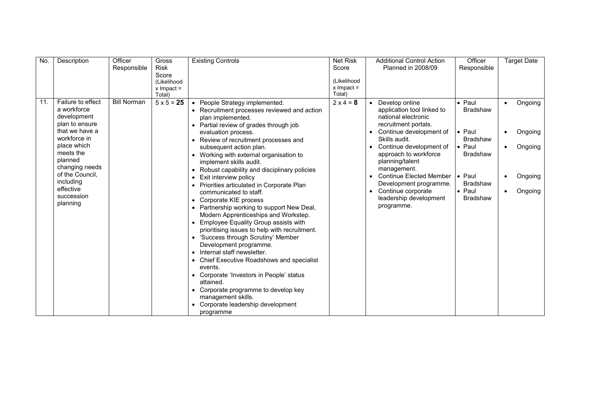| No. | Description       | Officer            | Gross                  | <b>Existing Controls</b>                      | <b>Net Risk</b>        | <b>Additional Control Action</b> | Officer         | <b>Target Date</b>   |
|-----|-------------------|--------------------|------------------------|-----------------------------------------------|------------------------|----------------------------------|-----------------|----------------------|
|     |                   | Responsible        | <b>Risk</b>            |                                               | Score                  | Planned in 2008/09               | Responsible     |                      |
|     |                   |                    | Score                  |                                               |                        |                                  |                 |                      |
|     |                   |                    | (Likelihood            |                                               | (Likelihood            |                                  |                 |                      |
|     |                   |                    | $x$ Impact =<br>Total) |                                               | $x$ Impact =<br>Total) |                                  |                 |                      |
| 11. | Failure to effect | <b>Bill Norman</b> | $5 \times 5 = 25$      | • People Strategy implemented.                | $2 \times 4 = 8$       | Develop online                   | $\bullet$ Paul  | Ongoing<br>$\bullet$ |
|     | a workforce       |                    |                        | • Recruitment processes reviewed and action   |                        | application tool linked to       | <b>Bradshaw</b> |                      |
|     | development       |                    |                        | plan implemented.                             |                        | national electronic              |                 |                      |
|     | plan to ensure    |                    |                        | • Partial review of grades through job        |                        | recruitment portals.             |                 |                      |
|     | that we have a    |                    |                        | evaluation process.                           |                        | Continue development of          | $\bullet$ Paul  | Ongoing              |
|     | workforce in      |                    |                        | • Review of recruitment processes and         |                        | Skills audit.                    | <b>Bradshaw</b> |                      |
|     | place which       |                    |                        | subsequent action plan.                       |                        | Continue development of          | $\bullet$ Paul  | Ongoing              |
|     | meets the         |                    |                        | • Working with external organisation to       |                        | approach to workforce            | <b>Bradshaw</b> |                      |
|     | planned           |                    |                        | implement skills audit.                       |                        | planning/talent                  |                 |                      |
|     | changing needs    |                    |                        | • Robust capability and disciplinary policies |                        | management.                      |                 |                      |
|     | of the Council,   |                    |                        | • Exit interview policy                       |                        | <b>Continue Elected Member</b>   | $\bullet$ Paul  | Ongoing              |
|     | including         |                    |                        | • Priorities articulated in Corporate Plan    |                        | Development programme.           | <b>Bradshaw</b> |                      |
|     | effective         |                    |                        | communicated to staff.                        |                        | Continue corporate               | $\bullet$ Paul  | Ongoing              |
|     | succession        |                    |                        | • Corporate KIE process                       |                        | leadership development           | <b>Bradshaw</b> |                      |
|     | planning          |                    |                        | • Partnership working to support New Deal,    |                        | programme.                       |                 |                      |
|     |                   |                    |                        | Modern Apprenticeships and Workstep.          |                        |                                  |                 |                      |
|     |                   |                    |                        | • Employee Equality Group assists with        |                        |                                  |                 |                      |
|     |                   |                    |                        | prioritising issues to help with recruitment. |                        |                                  |                 |                      |
|     |                   |                    |                        | • 'Success through Scrutiny' Member           |                        |                                  |                 |                      |
|     |                   |                    |                        | Development programme.                        |                        |                                  |                 |                      |
|     |                   |                    |                        | • Internal staff newsletter.                  |                        |                                  |                 |                      |
|     |                   |                    |                        | • Chief Executive Roadshows and specialist    |                        |                                  |                 |                      |
|     |                   |                    |                        | events.                                       |                        |                                  |                 |                      |
|     |                   |                    |                        | • Corporate 'Investors in People' status      |                        |                                  |                 |                      |
|     |                   |                    |                        | attained.                                     |                        |                                  |                 |                      |
|     |                   |                    |                        | • Corporate programme to develop key          |                        |                                  |                 |                      |
|     |                   |                    |                        | management skills.                            |                        |                                  |                 |                      |
|     |                   |                    |                        | • Corporate leadership development            |                        |                                  |                 |                      |
|     |                   |                    |                        | programme                                     |                        |                                  |                 |                      |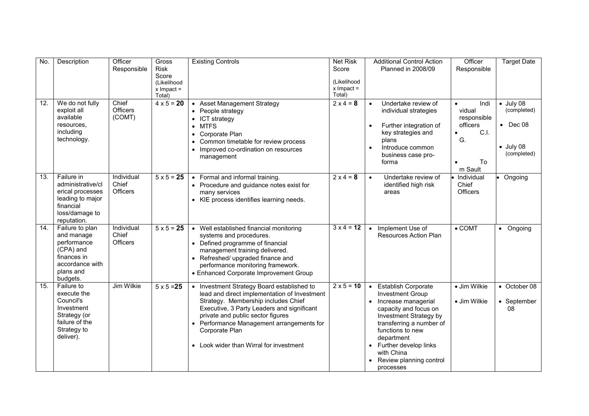| No. | Description                                                                                                           | Officer                                | <b>Gross</b>                          | <b>Existing Controls</b>                                                                                                                                                                                                                                                                                                       | <b>Net Risk</b>                       | <b>Additional Control Action</b>                                                                                                                                                                                                                                                          | Officer                                                                  | <b>Target Date</b>                                                                       |
|-----|-----------------------------------------------------------------------------------------------------------------------|----------------------------------------|---------------------------------------|--------------------------------------------------------------------------------------------------------------------------------------------------------------------------------------------------------------------------------------------------------------------------------------------------------------------------------|---------------------------------------|-------------------------------------------------------------------------------------------------------------------------------------------------------------------------------------------------------------------------------------------------------------------------------------------|--------------------------------------------------------------------------|------------------------------------------------------------------------------------------|
|     |                                                                                                                       | Responsible                            | <b>Risk</b><br>Score                  |                                                                                                                                                                                                                                                                                                                                | Score                                 | Planned in 2008/09                                                                                                                                                                                                                                                                        | Responsible                                                              |                                                                                          |
|     |                                                                                                                       |                                        | (Likelihood<br>$x$ Impact =<br>Total) |                                                                                                                                                                                                                                                                                                                                | (Likelihood<br>$x$ Impact =<br>Total) |                                                                                                                                                                                                                                                                                           |                                                                          |                                                                                          |
| 12. | We do not fully<br>exploit all<br>available<br>resources.<br>including<br>technology.                                 | Chief<br>Officers<br>(COMT)            | $4 \times 5 = 20$                     | <b>Asset Management Strategy</b><br>People strategy<br>$\bullet$<br>ICT strategy<br><b>MTFS</b><br>Corporate Plan<br>$\bullet$<br>Common timetable for review process<br>Improved co-ordination on resources<br>management                                                                                                     | $2 \times 4 = 8$                      | Undertake review of<br>individual strategies<br>Further integration of<br>$\bullet$<br>key strategies and<br>plans<br>Introduce common<br>$\bullet$<br>business case pro-<br>forma                                                                                                        | Indi<br>vidual<br>responsible<br>officers<br>C.I.<br>G.<br>To<br>m Sault | $\bullet$ July 08<br>(completed)<br>$\bullet$ Dec 08<br>$\bullet$ July 08<br>(completed) |
| 13. | Failure in<br>administrative/cl<br>erical processes<br>leading to major<br>financial<br>loss/damage to<br>reputation. | Individual<br>Chief<br>Officers        | $5 \times 5 = 25$                     | • Formal and informal training.<br>• Procedure and guidance notes exist for<br>many services<br>• KIE process identifies learning needs.                                                                                                                                                                                       | $2 \times 4 = 8$                      | Undertake review of<br>$\bullet$<br>identified high risk<br>areas                                                                                                                                                                                                                         | Individual<br>Chief<br><b>Officers</b>                                   | • Ongoing                                                                                |
| 14. | Failure to plan<br>and manage<br>performance<br>(CPA) and<br>finances in<br>accordance with<br>plans and<br>budgets.  | Individual<br>Chief<br><b>Officers</b> | $5 \times 5 = 25$                     | • Well established financial monitoring<br>systems and procedures.<br>• Defined programme of financial<br>management training delivered.<br>• Refreshed/ upgraded finance and<br>performance monitoring framework.<br>• Enhanced Corporate Improvement Group                                                                   | $3 \times 4 = 12$                     | Implement Use of<br>$\bullet$<br><b>Resources Action Plan</b>                                                                                                                                                                                                                             | $\bullet$ COMT                                                           | • Ongoing                                                                                |
| 15. | Failure to<br>execute the<br>Council's<br>Investment<br>Strategy (or<br>failure of the<br>Strategy to<br>deliver).    | Jim Wilkie                             | $5 \times 5 = 25$                     | • Investment Strategy Board established to<br>lead and direct implementation of Investment<br>Strategy. Membership includes Chief<br>Executive, 3 Party Leaders and significant<br>private and public sector figures<br>• Performance Management arrangements for<br>Corporate Plan<br>• Look wider than Wirral for investment | $2 \times 5 = 10$                     | <b>Establish Corporate</b><br>$\bullet$<br><b>Investment Group</b><br>Increase managerial<br>capacity and focus on<br>Investment Strategy by<br>transferring a number of<br>functions to new<br>department<br>Further develop links<br>with China<br>Review planning control<br>processes | • Jim Wilkie<br>• Jim Wilkie                                             | • October 08<br>• September<br>08                                                        |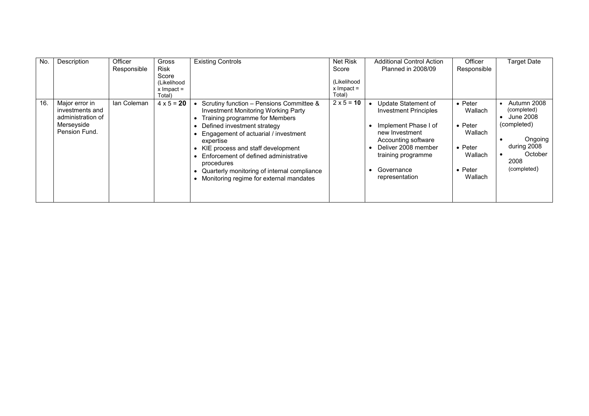| No. | Description                                                                           | Officer<br>Responsible | <b>Gross</b><br>Risk<br>Score<br>(Likelihood<br>$x$ Impact = | <b>Existing Controls</b>                                                                                                                                                                                                                                                                                                                                                                                              | Net Risk<br>Score<br>(Likelihood<br>$x$ Impact =<br>Total) | <b>Additional Control Action</b><br><b>Planned in 2008/09</b>                                                                                                                                     | Officer<br>Responsible                                                                                               | <b>Target Date</b>                                                                                                 |
|-----|---------------------------------------------------------------------------------------|------------------------|--------------------------------------------------------------|-----------------------------------------------------------------------------------------------------------------------------------------------------------------------------------------------------------------------------------------------------------------------------------------------------------------------------------------------------------------------------------------------------------------------|------------------------------------------------------------|---------------------------------------------------------------------------------------------------------------------------------------------------------------------------------------------------|----------------------------------------------------------------------------------------------------------------------|--------------------------------------------------------------------------------------------------------------------|
| 16. | Major error in<br>investments and<br>administration of<br>Merseyside<br>Pension Fund. | lan Coleman            | Total)<br>$4 \times 5 = 20$                                  | Scrutiny function - Pensions Committee &<br><b>Investment Monitoring Working Party</b><br>Training programme for Members<br>Defined investment strategy<br>• Engagement of actuarial / investment<br>expertise<br>• KIE process and staff development<br>• Enforcement of defined administrative<br>procedures<br>Quarterly monitoring of internal compliance<br>Monitoring regime for external mandates<br>$\bullet$ | $2 \times 5 = 10$                                          | Update Statement of<br><b>Investment Principles</b><br>Implement Phase I of<br>new Investment<br>Accounting software<br>Deliver 2008 member<br>training programme<br>Governance<br>representation | $\bullet$ Peter<br>Wallach<br>$\bullet$ Peter<br>Wallach<br>$\bullet$ Peter<br>Wallach<br>$\bullet$ Peter<br>Wallach | Autumn 2008<br>(completed)<br>June 2008<br>(completed)<br>Ongoing<br>during 2008<br>October<br>2008<br>(completed) |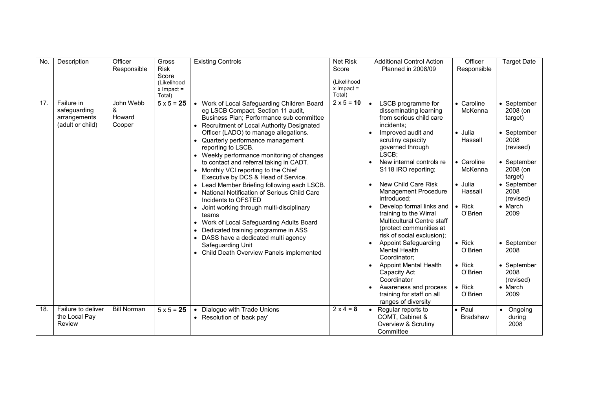| No. | Description                                                    | Officer                            | Gross                               | Existing Controls                                                                                                                                                                                                                                                                                                                                                                                                                                                                                                                                                                                                                                                                                                                                                                                                                                                      | <b>Net Risk</b>        | <b>Additional Control Action</b>                                                                                                                                                                                                                                                                                                                                                                                                                                                                                                                                                                        | Officer                                                                                                                                                                                             | <b>Target Date</b>                                                                                                                                                                                                                                |
|-----|----------------------------------------------------------------|------------------------------------|-------------------------------------|------------------------------------------------------------------------------------------------------------------------------------------------------------------------------------------------------------------------------------------------------------------------------------------------------------------------------------------------------------------------------------------------------------------------------------------------------------------------------------------------------------------------------------------------------------------------------------------------------------------------------------------------------------------------------------------------------------------------------------------------------------------------------------------------------------------------------------------------------------------------|------------------------|---------------------------------------------------------------------------------------------------------------------------------------------------------------------------------------------------------------------------------------------------------------------------------------------------------------------------------------------------------------------------------------------------------------------------------------------------------------------------------------------------------------------------------------------------------------------------------------------------------|-----------------------------------------------------------------------------------------------------------------------------------------------------------------------------------------------------|---------------------------------------------------------------------------------------------------------------------------------------------------------------------------------------------------------------------------------------------------|
|     |                                                                | Responsible                        | <b>Risk</b><br>Score<br>(Likelihood |                                                                                                                                                                                                                                                                                                                                                                                                                                                                                                                                                                                                                                                                                                                                                                                                                                                                        | Score<br>(Likelihood   | Planned in 2008/09                                                                                                                                                                                                                                                                                                                                                                                                                                                                                                                                                                                      | Responsible                                                                                                                                                                                         |                                                                                                                                                                                                                                                   |
|     |                                                                |                                    | $x$ Impact =<br>Total)              |                                                                                                                                                                                                                                                                                                                                                                                                                                                                                                                                                                                                                                                                                                                                                                                                                                                                        | $x$ Impact =<br>Total) |                                                                                                                                                                                                                                                                                                                                                                                                                                                                                                                                                                                                         |                                                                                                                                                                                                     |                                                                                                                                                                                                                                                   |
| 17. | Failure in<br>safeguarding<br>arrangements<br>(adult or child) | John Webb<br>&<br>Howard<br>Cooper | $5 \times 5 = 25$                   | Work of Local Safeguarding Children Board<br>eg LSCB Compact, Section 11 audit,<br>Business Plan; Performance sub committee<br>• Recruitment of Local Authority Designated<br>Officer (LADO) to manage allegations.<br>• Quarterly performance management<br>reporting to LSCB.<br>• Weekly performance monitoring of changes<br>to contact and referral taking in CADT.<br>• Monthly VCI reporting to the Chief<br>Executive by DCS & Head of Service.<br>Lead Member Briefing following each LSCB.<br>$\bullet$<br>• National Notification of Serious Child Care<br>Incidents to OFSTED<br>• Joint working through multi-disciplinary<br>teams<br>Work of Local Safeguarding Adults Board<br>$\bullet$<br>Dedicated training programme in ASS<br>$\bullet$<br>• DASS have a dedicated multi agency<br>Safeguarding Unit<br>• Child Death Overview Panels implemented | $2 \times 5 = 10$      | LSCB programme for<br>$\bullet$<br>disseminating learning<br>from serious child care<br>incidents:<br>Improved audit and<br>scrutiny capacity<br>governed through<br>LSCB:<br>New internal controls re<br>S118 IRO reporting;<br>New Child Care Risk<br>Management Procedure<br>introduced:<br>Develop formal links and<br>training to the Wirral<br>Multicultural Centre staff<br>(protect communities at<br>risk of social exclusion);<br><b>Appoint Safeguarding</b><br><b>Mental Health</b><br>Coordinator;<br><b>Appoint Mental Health</b><br>Capacity Act<br>Coordinator<br>Awareness and process | • Caroline<br>McKenna<br>· Julia<br>Hassall<br>• Caroline<br>McKenna<br>· Julia<br>Hassall<br>$\bullet$ Rick<br>O'Brien<br>$\bullet$ Rick<br>O'Brien<br>$\bullet$ Rick<br>O'Brien<br>$\bullet$ Rick | • September<br>2008 (on<br>target)<br>• September<br>2008<br>(revised)<br>• September<br>2008 (on<br>target)<br>• September<br>2008<br>(revised)<br>• March<br>2009<br>• September<br>2008<br>• September<br>2008<br>(revised)<br>$\bullet$ March |
|     |                                                                |                                    |                                     |                                                                                                                                                                                                                                                                                                                                                                                                                                                                                                                                                                                                                                                                                                                                                                                                                                                                        |                        | training for staff on all<br>ranges of diversity                                                                                                                                                                                                                                                                                                                                                                                                                                                                                                                                                        | O'Brien                                                                                                                                                                                             | 2009                                                                                                                                                                                                                                              |
| 18. | Failure to deliver<br>the Local Pay<br>Review                  | <b>Bill Norman</b>                 | $5 \times 5 = 25$                   | Dialogue with Trade Unions<br>$\bullet$<br>• Resolution of 'back pay'                                                                                                                                                                                                                                                                                                                                                                                                                                                                                                                                                                                                                                                                                                                                                                                                  | $2 \times 4 = 8$       | Regular reports to<br>COMT, Cabinet &<br>Overview & Scrutiny<br>Committee                                                                                                                                                                                                                                                                                                                                                                                                                                                                                                                               | $\bullet$ Paul<br><b>Bradshaw</b>                                                                                                                                                                   | • Ongoing<br>during<br>2008                                                                                                                                                                                                                       |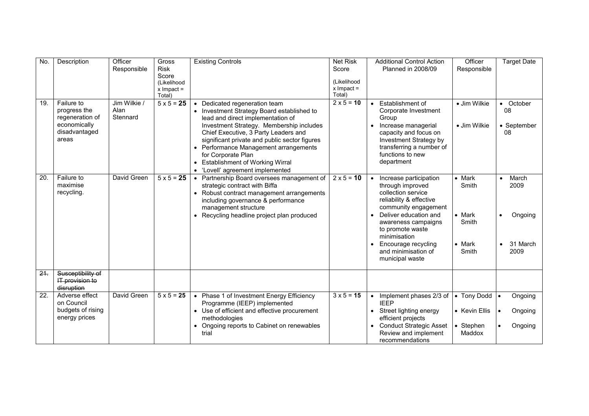| No.    | Description                                                                             | Officer<br>Responsible           | Gross<br><b>Risk</b><br>Score<br>(Likelihood<br>$x$ Impact =<br>Total) | <b>Existing Controls</b>                                                                                                                                                                                                                                                                                                                                                                                                            | <b>Net Risk</b><br>Score<br>(Likelihood<br>$x$ Impact =<br>Total) | <b>Additional Control Action</b><br>Planned in 2008/09                                                                                                                                                                                                                                | Officer<br>Responsible                                                        | <b>Target Date</b>                                                                  |
|--------|-----------------------------------------------------------------------------------------|----------------------------------|------------------------------------------------------------------------|-------------------------------------------------------------------------------------------------------------------------------------------------------------------------------------------------------------------------------------------------------------------------------------------------------------------------------------------------------------------------------------------------------------------------------------|-------------------------------------------------------------------|---------------------------------------------------------------------------------------------------------------------------------------------------------------------------------------------------------------------------------------------------------------------------------------|-------------------------------------------------------------------------------|-------------------------------------------------------------------------------------|
| 19.    | Failure to<br>progress the<br>regeneration of<br>economically<br>disadvantaged<br>areas | Jim Wilkie /<br>Alan<br>Stennard | $5 \times 5 = 25$                                                      | Dedicated regeneration team<br>$\bullet$<br>• Investment Strategy Board established to<br>lead and direct implementation of<br>Investment Strategy. Membership includes<br>Chief Executive, 3 Party Leaders and<br>significant private and public sector figures<br>Performance Management arrangements<br>for Corporate Plan<br><b>Establishment of Working Wirral</b><br>$\bullet$<br>'Lovell' agreement implemented<br>$\bullet$ | $2 \times 5 = 10$                                                 | Establishment of<br>$\bullet$<br>Corporate Investment<br>Group<br>Increase managerial<br>$\bullet$<br>capacity and focus on<br>Investment Strategy by<br>transferring a number of<br>functions to new<br>department                                                                   | • Jim Wilkie<br>• Jim Wilkie                                                  | • October<br>08<br>• September<br>08                                                |
| 20.    | Failure to<br>maximise<br>recycling.                                                    | David Green                      | $5 \times 5 = 25$                                                      | Partnership Board oversees management of<br>$\bullet$<br>strategic contract with Biffa<br>• Robust contract management arrangements<br>including governance & performance<br>management structure<br>• Recycling headline project plan produced                                                                                                                                                                                     | $2 \times 5 = 10$                                                 | Increase participation<br>through improved<br>collection service<br>reliability & effective<br>community engagement<br>Deliver education and<br>awareness campaigns<br>to promote waste<br>minimisation<br>Encourage recycling<br>$\bullet$<br>and minimisation of<br>municipal waste | $\bullet$ Mark<br>Smith<br>$\bullet$ Mark<br>Smith<br>$\bullet$ Mark<br>Smith | March<br>$\bullet$<br>2009<br>Ongoing<br>$\bullet$<br>31 March<br>$\bullet$<br>2009 |
| $21 -$ | Susceptibility of<br>IT provision to<br>disruption                                      |                                  |                                                                        |                                                                                                                                                                                                                                                                                                                                                                                                                                     |                                                                   |                                                                                                                                                                                                                                                                                       |                                                                               |                                                                                     |
| 22.    | Adverse effect<br>on Council<br>budgets of rising<br>energy prices                      | David Green                      | $5 \times 5 = 25$                                                      | • Phase 1 of Investment Energy Efficiency<br>Programme (IEEP) implemented<br>• Use of efficient and effective procurement<br>methodologies<br>Ongoing reports to Cabinet on renewables<br>trial                                                                                                                                                                                                                                     | $3 \times 5 = 15$                                                 | Implement phases 2/3 of<br>$\bullet$<br><b>IEEP</b><br>Street lighting energy<br>$\bullet$<br>efficient projects<br><b>Conduct Strategic Asset</b><br>Review and implement<br>recommendations                                                                                         | • Tony Dodd<br>• Kevin Ellis<br>Stephen<br>Maddox                             | Ongoing<br>$\bullet$<br>Ongoing<br>$\bullet$<br>Ongoing                             |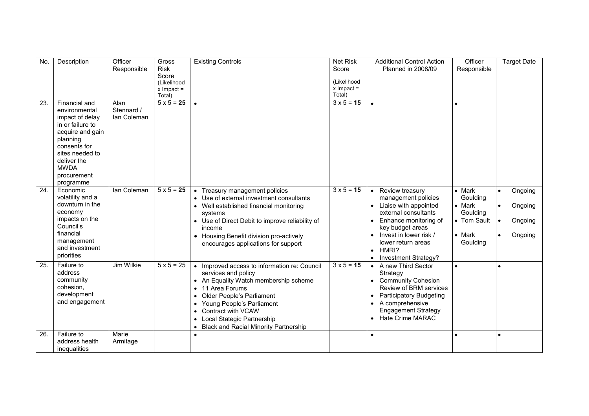| No. | Description                                                                                                                                                                                        | Officer<br>Responsible            | Gross<br><b>Risk</b><br>Score<br>(Likelihood<br>$x$ Impact =<br>Total) | <b>Existing Controls</b>                                                                                                                                                                                                                                                                                                                                                   | <b>Net Risk</b><br>Score<br>(Likelihood<br>$x$ Impact =<br>Total) | <b>Additional Control Action</b><br><b>Planned in 2008/09</b>                                                                                                                                                                                                | Officer<br>Responsible                                                                                | <b>Target Date</b>                                                 |
|-----|----------------------------------------------------------------------------------------------------------------------------------------------------------------------------------------------------|-----------------------------------|------------------------------------------------------------------------|----------------------------------------------------------------------------------------------------------------------------------------------------------------------------------------------------------------------------------------------------------------------------------------------------------------------------------------------------------------------------|-------------------------------------------------------------------|--------------------------------------------------------------------------------------------------------------------------------------------------------------------------------------------------------------------------------------------------------------|-------------------------------------------------------------------------------------------------------|--------------------------------------------------------------------|
| 23. | Financial and<br>environmental<br>impact of delay<br>in or failure to<br>acquire and gain<br>planning<br>consents for<br>sites needed to<br>deliver the<br><b>MWDA</b><br>procurement<br>programme | Alan<br>Stennard /<br>lan Coleman | $5 \times 5 = 25$                                                      | $\bullet$                                                                                                                                                                                                                                                                                                                                                                  | $3 \times 5 = 15$                                                 | $\bullet$                                                                                                                                                                                                                                                    |                                                                                                       |                                                                    |
| 24. | Economic<br>volatility and a<br>downturn in the<br>economy<br>impacts on the<br>Council's<br>financial<br>management<br>and investment<br>priorities                                               | lan Coleman                       | $5 \times 5 = 25$                                                      | Treasury management policies<br>$\bullet$<br>• Use of external investment consultants<br>• Well established financial monitoring<br>systems<br>• Use of Direct Debit to improve reliability of<br>income<br>• Housing Benefit division pro-actively<br>encourages applications for support                                                                                 | $3 \times 5 = 15$                                                 | Review treasury<br>$\bullet$<br>management policies<br>Liaise with appointed<br>$\bullet$<br>external consultants<br>Enhance monitoring of<br>key budget areas<br>Invest in lower risk /<br>lower return areas<br>HMRI?<br>$\bullet$<br>Investment Strategy? | $\bullet$ Mark<br>Goulding<br>$\bullet$ Mark<br>Goulding<br>• Tom Sault<br>$\bullet$ Mark<br>Goulding | Ongoing<br>$\bullet$<br>Ongoing<br>Ongoing<br>$\bullet$<br>Ongoing |
| 25. | Failure to<br>address<br>community<br>cohesion.<br>development<br>and engagement                                                                                                                   | Jim Wilkie                        | $5 \times 5 = 25$                                                      | • Improved access to information re: Council<br>services and policy<br>• An Equality Watch membership scheme<br>11 Area Forums<br>$\bullet$<br>Older People's Parliament<br>$\bullet$<br>Young People's Parliament<br>$\bullet$<br>Contract with VCAW<br>$\bullet$<br>Local Stategic Partnership<br>$\bullet$<br><b>Black and Racial Minority Partnership</b><br>$\bullet$ | $3 \times 5 = 15$                                                 | A new Third Sector<br>$\bullet$<br>Strategy<br>• Community Cohesion<br>Review of BRM services<br><b>Participatory Budgeting</b><br>$\bullet$<br>• A comprehensive<br><b>Engagement Strategy</b><br>Hate Crime MARAC                                          |                                                                                                       |                                                                    |
| 26. | Failure to<br>address health<br>inequalities                                                                                                                                                       | Marie<br>Armitage                 |                                                                        | $\bullet$                                                                                                                                                                                                                                                                                                                                                                  |                                                                   | $\bullet$                                                                                                                                                                                                                                                    |                                                                                                       |                                                                    |